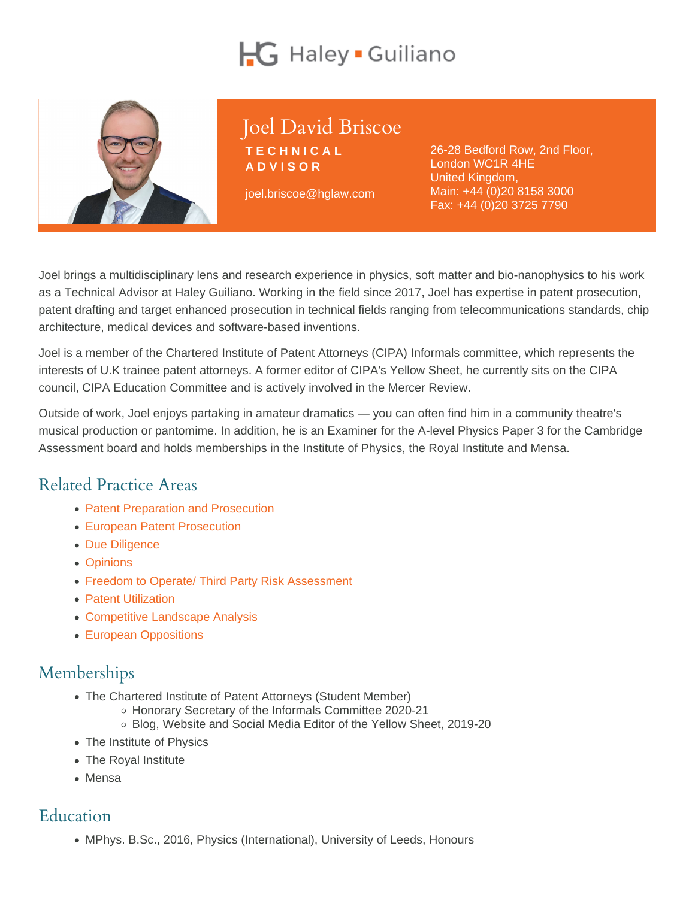## Joel David Briscoe

**TECHNICAL** ADVISOR

joel.briscoe@hglaw.com

26-28 Bedford Row, 2nd Floor, London WC1R 4HE United Kingdom, Main: [+44 \(0\)20 8158 3000](tel:+1-+44 (0)20 8158 3000) Fax: +44 (0)20 3725 7790

Joel brings a multidisciplinary lens and research experience in physics, soft matter and bio-nanophysics to his work as a Technical Advisor at Haley Guiliano. Working in the field since 2017, Joel has expertise in patent prosecution, patent drafting and target enhanced prosecution in technical fields ranging from telecommunications standards, chip architecture, medical devices and software-based inventions.

Joel is a member of the Chartered Institute of Patent Attorneys (CIPA) Informals committee, which represents the interests of U.K trainee patent attorneys. A former editor of CIPA's Yellow Sheet, he currently sits on the CIPA council, CIPA Education Committee and is actively involved in the Mercer Review.

Outside of work, Joel enjoys partaking in amateur dramatics — you can often find him in a community theatre's musical production or pantomime. In addition, he is an Examiner for the A-level Physics Paper 3 for the Cambridge Assessment board and holds memberships in the Institute of Physics, the Royal Institute and Mensa.

## Related Practice Areas

- [Patent Preparation and Prosecution](https://www.hglaw.com/practice-areas/patents/patent-preparation-prosecution/)
- [European Patent Prosecution](https://www.hglaw.com/practice-areas/patents/european-patent-prosecution/)
- [Due Diligence](https://www.hglaw.com/practice-areas/strategic-counseling/due-diligence/)
- [Opinions](https://www.hglaw.com/practice-areas/strategic-counseling/opinions/)
- [Freedom to Operate/ Third Party Risk Assessment](https://www.hglaw.com/practice-areas/strategic-counseling/freedom-to-operate-third-party-risk-assessment/)
- [Patent Utilization](https://www.hglaw.com/practice-areas/strategic-counseling/patent-utilization/)
- [Competitive Landscape Analysis](https://www.hglaw.com/practice-areas/strategic-counseling/competitive-landscape-analysis/)
- [European Oppositions](https://www.hglaw.com/practice-areas/contested-proceedings/european-oppositions/)

## Memberships

- The Chartered Institute of Patent Attorneys (Student Member)
	- o Honorary Secretary of the Informals Committee 2020-21
	- Blog, Website and Social Media Editor of the Yellow Sheet, 2019-20
- The Institute of Physics
- The Royal Institute
- Mensa

## Education

MPhys. B.Sc., 2016, Physics (International), University of Leeds, Honours